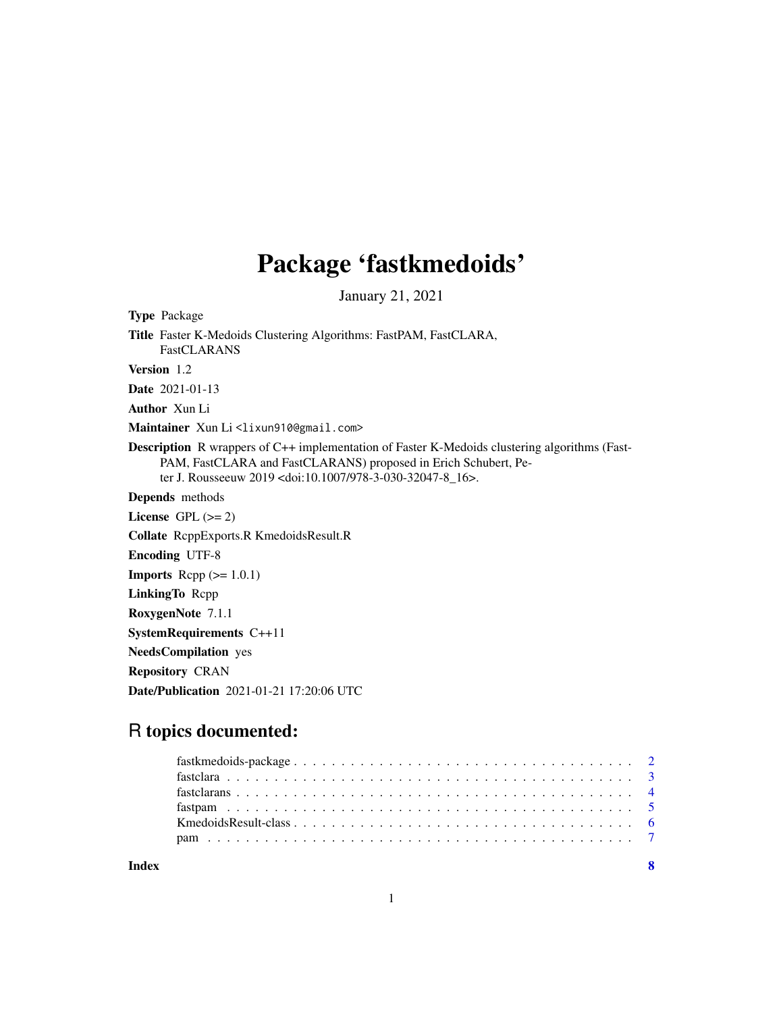## Package 'fastkmedoids'

January 21, 2021

Type Package Title Faster K-Medoids Clustering Algorithms: FastPAM, FastCLARA, FastCLARANS Version 1.2 Date 2021-01-13 Author Xun Li Maintainer Xun Li<lixun910@gmail.com> Description R wrappers of C++ implementation of Faster K-Medoids clustering algorithms (Fast-PAM, FastCLARA and FastCLARANS) proposed in Erich Schubert, Peter J. Rousseeuw 2019 <doi:10.1007/978-3-030-32047-8\_16>. Depends methods License GPL  $(>= 2)$ Collate RcppExports.R KmedoidsResult.R Encoding UTF-8 **Imports** Rcpp  $(>= 1.0.1)$ LinkingTo Rcpp RoxygenNote 7.1.1 SystemRequirements C++11 NeedsCompilation yes Repository CRAN Date/Publication 2021-01-21 17:20:06 UTC

## R topics documented:

| Index |  |
|-------|--|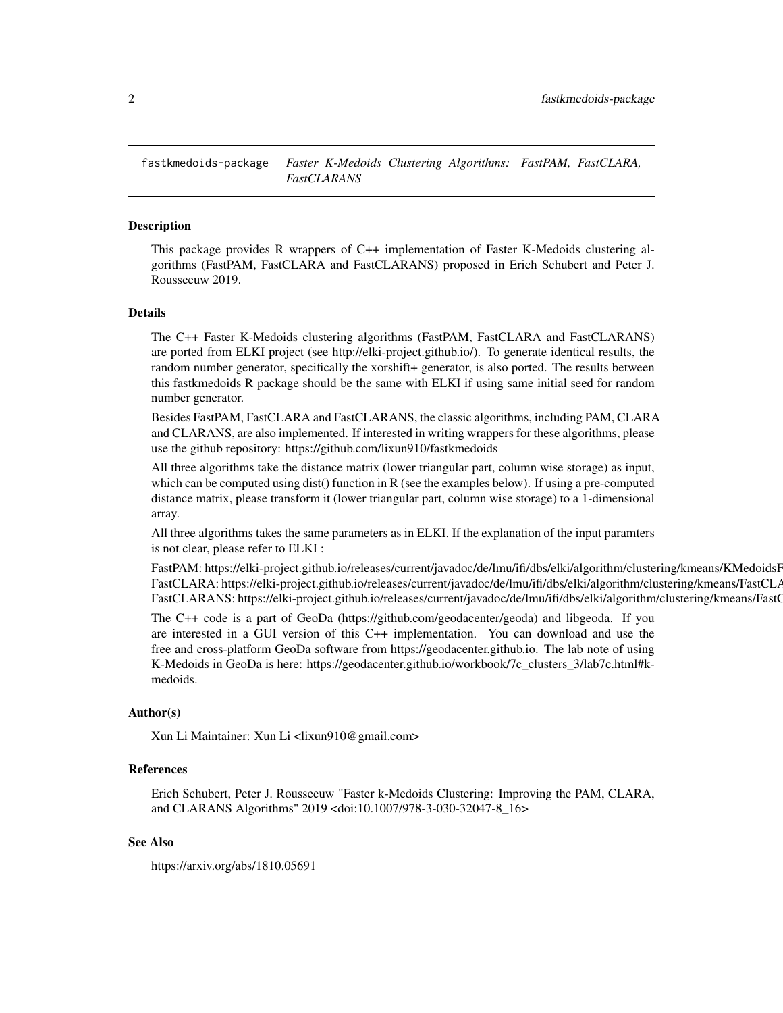<span id="page-1-0"></span>fastkmedoids-package *Faster K-Medoids Clustering Algorithms: FastPAM, FastCLARA, FastCLARANS*

#### Description

This package provides R wrappers of C++ implementation of Faster K-Medoids clustering algorithms (FastPAM, FastCLARA and FastCLARANS) proposed in Erich Schubert and Peter J. Rousseeuw 2019.

#### Details

The C++ Faster K-Medoids clustering algorithms (FastPAM, FastCLARA and FastCLARANS) are ported from ELKI project (see http://elki-project.github.io/). To generate identical results, the random number generator, specifically the xorshift+ generator, is also ported. The results between this fastkmedoids R package should be the same with ELKI if using same initial seed for random number generator.

Besides FastPAM, FastCLARA and FastCLARANS, the classic algorithms, including PAM, CLARA and CLARANS, are also implemented. If interested in writing wrappers for these algorithms, please use the github repository: https://github.com/lixun910/fastkmedoids

All three algorithms take the distance matrix (lower triangular part, column wise storage) as input, which can be computed using dist() function in R (see the examples below). If using a pre-computed distance matrix, please transform it (lower triangular part, column wise storage) to a 1-dimensional array.

All three algorithms takes the same parameters as in ELKI. If the explanation of the input paramters is not clear, please refer to ELKI :

FastPAM: https://elki-project.github.io/releases/current/javadoc/de/lmu/ifi/dbs/elki/algorithm/clustering/kmeans/KMedoidsF FastCLARA: https://elki-project.github.io/releases/current/javadoc/de/lmu/ifi/dbs/elki/algorithm/clustering/kmeans/FastCL/ FastCLARANS: https://elki-project.github.io/releases/current/javadoc/de/lmu/ifi/dbs/elki/algorithm/clustering/kmeans/FastC

The C++ code is a part of GeoDa (https://github.com/geodacenter/geoda) and libgeoda. If you are interested in a GUI version of this C++ implementation. You can download and use the free and cross-platform GeoDa software from https://geodacenter.github.io. The lab note of using K-Medoids in GeoDa is here: https://geodacenter.github.io/workbook/7c\_clusters\_3/lab7c.html#kmedoids.

#### Author(s)

Xun Li Maintainer: Xun Li <lixun910@gmail.com>

#### References

Erich Schubert, Peter J. Rousseeuw "Faster k-Medoids Clustering: Improving the PAM, CLARA, and CLARANS Algorithms" 2019 <doi:10.1007/978-3-030-32047-8\_16>

#### See Also

https://arxiv.org/abs/1810.05691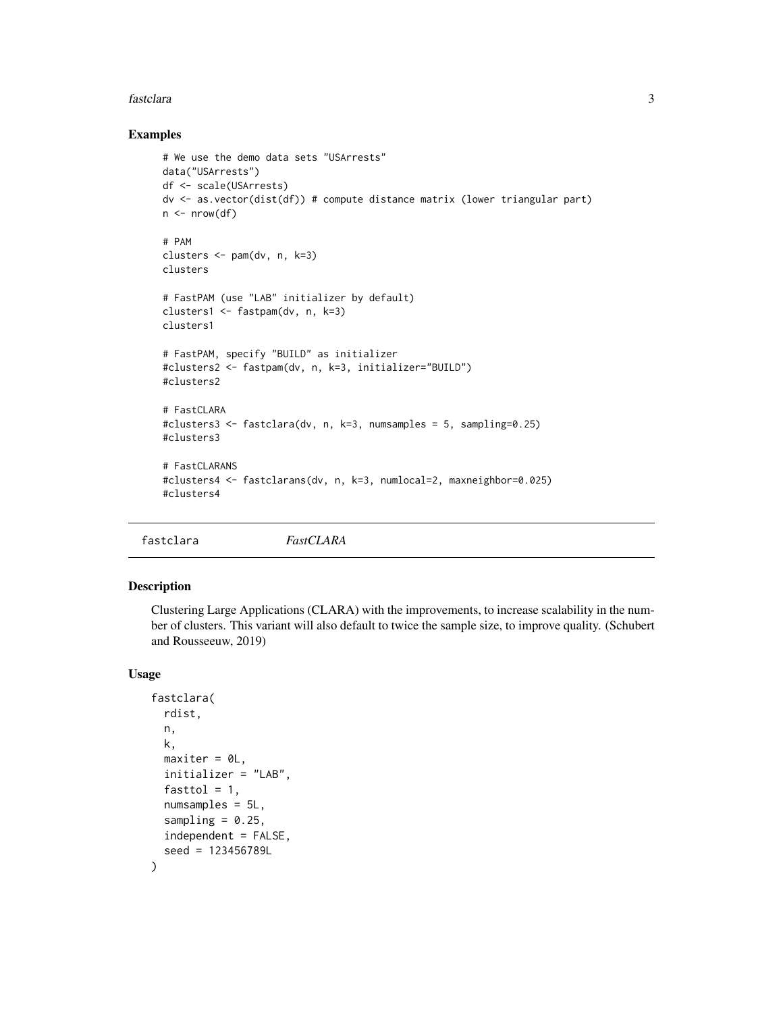#### <span id="page-2-0"></span>fastclara 3

#### Examples

```
# We use the demo data sets "USArrests"
data("USArrests")
df <- scale(USArrests)
dv <- as.vector(dist(df)) # compute distance matrix (lower triangular part)
n \leq -nrow(df)# PAM
clusters <- pam(dv, n, k=3)
clusters
# FastPAM (use "LAB" initializer by default)
clusters1 <- fastpam(dv, n, k=3)
clusters1
# FastPAM, specify "BUILD" as initializer
#clusters2 <- fastpam(dv, n, k=3, initializer="BUILD")
#clusters2
# FastCLARA
#clusters3 <- fastclara(dv, n, k=3, numsamples = 5, sampling=0.25)
#clusters3
# FastCLARANS
#clusters4 <- fastclarans(dv, n, k=3, numlocal=2, maxneighbor=0.025)
#clusters4
```
fastclara *FastCLARA*

#### Description

Clustering Large Applications (CLARA) with the improvements, to increase scalability in the number of clusters. This variant will also default to twice the sample size, to improve quality. (Schubert and Rousseeuw, 2019)

#### Usage

```
fastclara(
 rdist,
  n,
 k,
 maxiter = 0L,
  initializer = "LAB",
  fasttol = 1,
 numsamples = 5L,
  sampling = 0.25,
  independent = FALSE,
  seed = 123456789L
)
```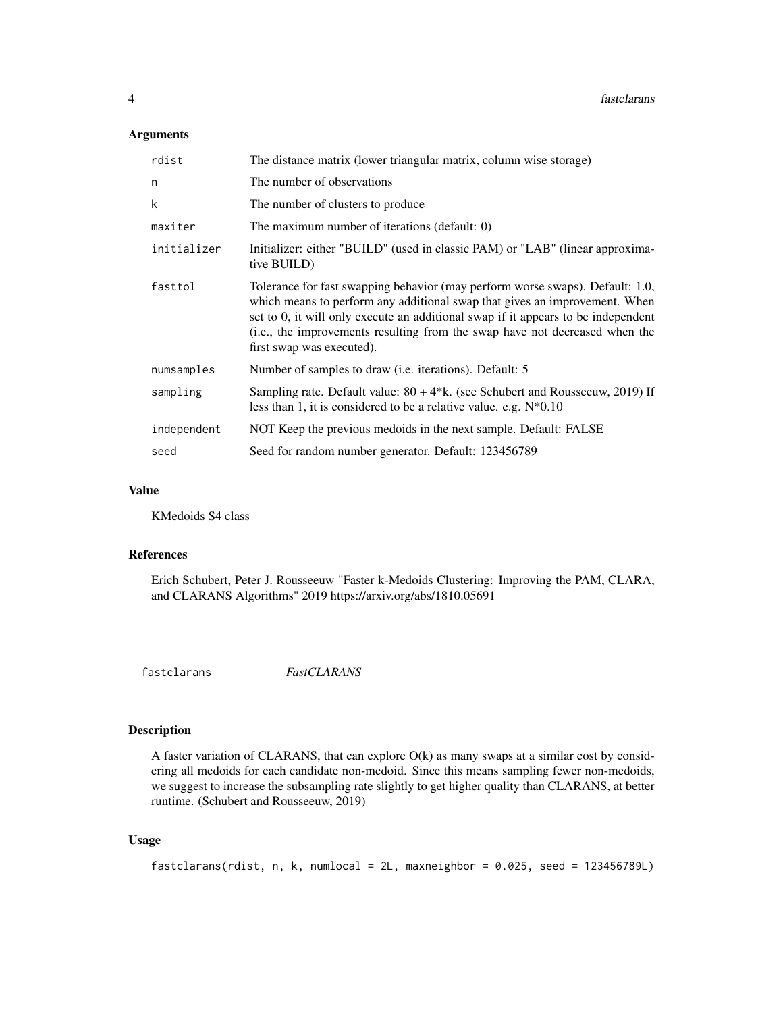#### <span id="page-3-0"></span>Arguments

| rdist       | The distance matrix (lower triangular matrix, column wise storage)                                                                                                                                                                                                                                                                                           |
|-------------|--------------------------------------------------------------------------------------------------------------------------------------------------------------------------------------------------------------------------------------------------------------------------------------------------------------------------------------------------------------|
| n           | The number of observations                                                                                                                                                                                                                                                                                                                                   |
| k           | The number of clusters to produce                                                                                                                                                                                                                                                                                                                            |
| maxiter     | The maximum number of iterations (default: 0)                                                                                                                                                                                                                                                                                                                |
| initializer | Initializer: either "BUILD" (used in classic PAM) or "LAB" (linear approxima-<br>tive BUILD)                                                                                                                                                                                                                                                                 |
| fasttol     | Tolerance for fast swapping behavior (may perform worse swaps). Default: 1.0,<br>which means to perform any additional swap that gives an improvement. When<br>set to 0, it will only execute an additional swap if it appears to be independent<br>(i.e., the improvements resulting from the swap have not decreased when the<br>first swap was executed). |
| numsamples  | Number of samples to draw ( <i>i.e.</i> iterations). Default: 5                                                                                                                                                                                                                                                                                              |
| sampling    | Sampling rate. Default value: $80 + 4*k$ . (see Schubert and Rousseeuw, 2019) If<br>less than 1, it is considered to be a relative value. e.g. $N*0.10$                                                                                                                                                                                                      |
| independent | NOT Keep the previous medoids in the next sample. Default: FALSE                                                                                                                                                                                                                                                                                             |
| seed        | Seed for random number generator. Default: 123456789                                                                                                                                                                                                                                                                                                         |

#### Value

KMedoids S4 class

#### References

Erich Schubert, Peter J. Rousseeuw "Faster k-Medoids Clustering: Improving the PAM, CLARA, and CLARANS Algorithms" 2019 https://arxiv.org/abs/1810.05691

fastclarans *FastCLARANS*

#### Description

A faster variation of CLARANS, that can explore O(k) as many swaps at a similar cost by considering all medoids for each candidate non-medoid. Since this means sampling fewer non-medoids, we suggest to increase the subsampling rate slightly to get higher quality than CLARANS, at better runtime. (Schubert and Rousseeuw, 2019)

#### Usage

```
fastclarans(rdist, n, k, numlocal = 2L, maxneighbor = 0.025, seed = 123456789L)
```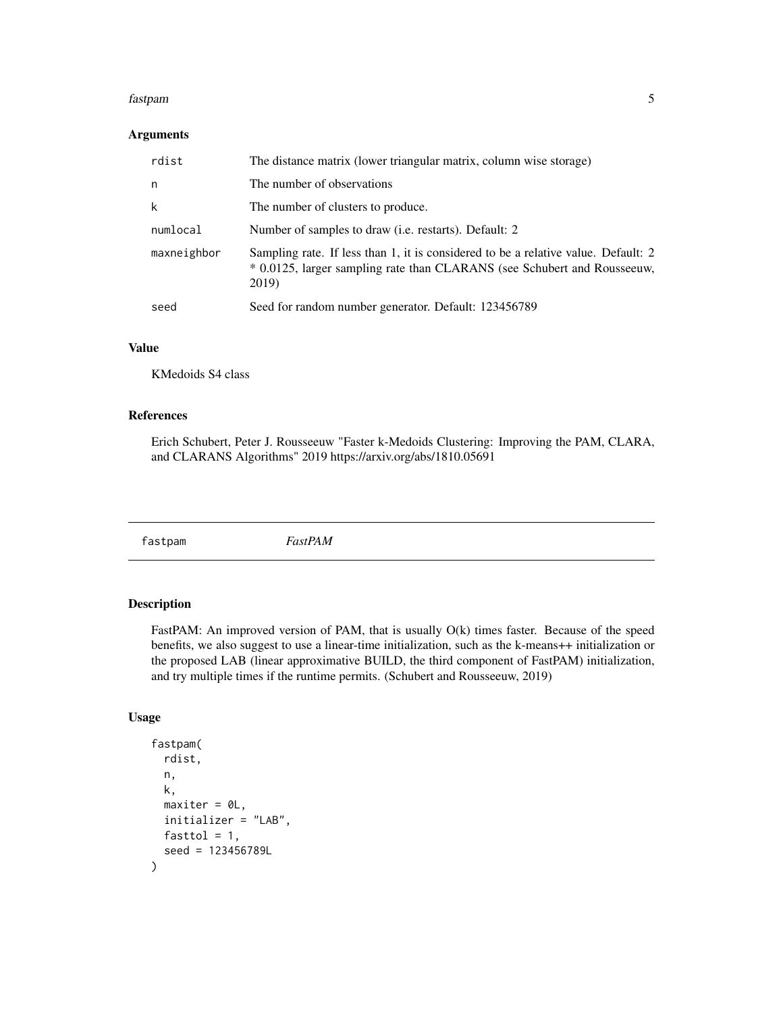#### <span id="page-4-0"></span>fastpam 5

#### Arguments

| rdist       | The distance matrix (lower triangular matrix, column wise storage)                                                                                                      |
|-------------|-------------------------------------------------------------------------------------------------------------------------------------------------------------------------|
| n           | The number of observations                                                                                                                                              |
| k           | The number of clusters to produce.                                                                                                                                      |
| numlocal    | Number of samples to draw ( <i>i.e.</i> restarts). Default: 2                                                                                                           |
| maxneighbor | Sampling rate. If less than 1, it is considered to be a relative value. Default: 2<br>* 0.0125, larger sampling rate than CLARANS (see Schubert and Rousseeuw,<br>2019) |
| seed        | Seed for random number generator. Default: 123456789                                                                                                                    |

#### Value

KMedoids S4 class

#### References

Erich Schubert, Peter J. Rousseeuw "Faster k-Medoids Clustering: Improving the PAM, CLARA, and CLARANS Algorithms" 2019 https://arxiv.org/abs/1810.05691

fastpam *FastPAM*

#### Description

FastPAM: An improved version of PAM, that is usually  $O(k)$  times faster. Because of the speed benefits, we also suggest to use a linear-time initialization, such as the k-means++ initialization or the proposed LAB (linear approximative BUILD, the third component of FastPAM) initialization, and try multiple times if the runtime permits. (Schubert and Rousseeuw, 2019)

#### Usage

```
fastpam(
  rdist,
  n,
  k,
  maxiter = 0L,
  initializer = "LAB",
  fasttol = 1,seed = 123456789L
\mathcal{E}
```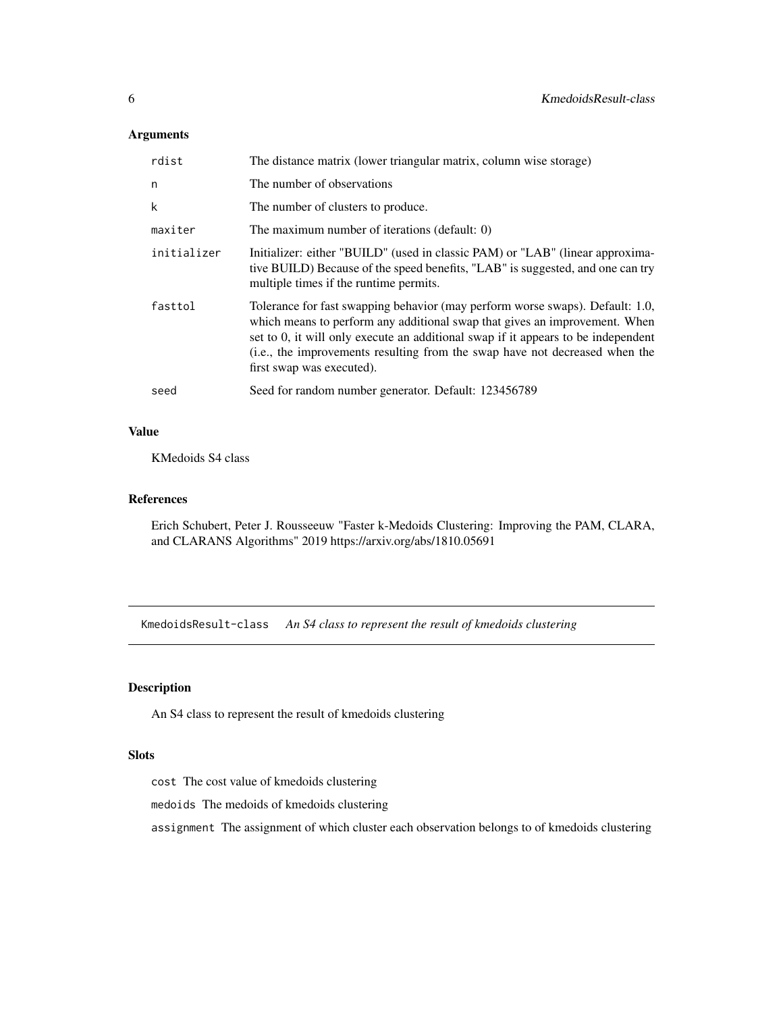#### <span id="page-5-0"></span>Arguments

| rdist       | The distance matrix (lower triangular matrix, column wise storage)                                                                                                                                                                                                                                                                                           |
|-------------|--------------------------------------------------------------------------------------------------------------------------------------------------------------------------------------------------------------------------------------------------------------------------------------------------------------------------------------------------------------|
| n           | The number of observations                                                                                                                                                                                                                                                                                                                                   |
| k           | The number of clusters to produce.                                                                                                                                                                                                                                                                                                                           |
| maxiter     | The maximum number of iterations (default: 0)                                                                                                                                                                                                                                                                                                                |
| initializer | Initializer: either "BUILD" (used in classic PAM) or "LAB" (linear approxima-<br>tive BUILD) Because of the speed benefits, "LAB" is suggested, and one can try<br>multiple times if the runtime permits.                                                                                                                                                    |
| fasttol     | Tolerance for fast swapping behavior (may perform worse swaps). Default: 1.0,<br>which means to perform any additional swap that gives an improvement. When<br>set to 0, it will only execute an additional swap if it appears to be independent<br>(i.e., the improvements resulting from the swap have not decreased when the<br>first swap was executed). |
| seed        | Seed for random number generator. Default: 123456789                                                                                                                                                                                                                                                                                                         |

#### Value

KMedoids S4 class

#### References

Erich Schubert, Peter J. Rousseeuw "Faster k-Medoids Clustering: Improving the PAM, CLARA, and CLARANS Algorithms" 2019 https://arxiv.org/abs/1810.05691

KmedoidsResult-class *An S4 class to represent the result of kmedoids clustering*

#### Description

An S4 class to represent the result of kmedoids clustering

#### Slots

cost The cost value of kmedoids clustering

medoids The medoids of kmedoids clustering

assignment The assignment of which cluster each observation belongs to of kmedoids clustering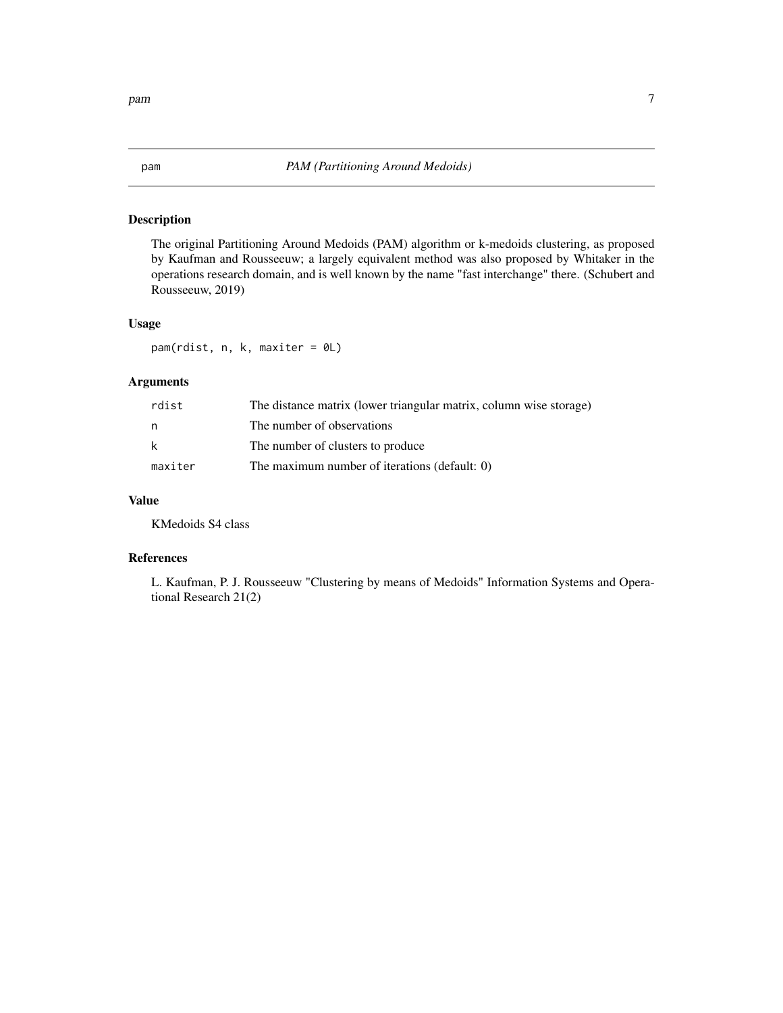#### <span id="page-6-0"></span>Description

The original Partitioning Around Medoids (PAM) algorithm or k-medoids clustering, as proposed by Kaufman and Rousseeuw; a largely equivalent method was also proposed by Whitaker in the operations research domain, and is well known by the name "fast interchange" there. (Schubert and Rousseeuw, 2019)

#### Usage

pam(rdist, n, k, maxiter = 0L)

### Arguments

| rdist   | The distance matrix (lower triangular matrix, column wise storage) |
|---------|--------------------------------------------------------------------|
| n       | The number of observations                                         |
| k       | The number of clusters to produce                                  |
| maxiter | The maximum number of iterations (default: 0)                      |

#### Value

KMedoids S4 class

#### References

L. Kaufman, P. J. Rousseeuw "Clustering by means of Medoids" Information Systems and Operational Research 21(2)